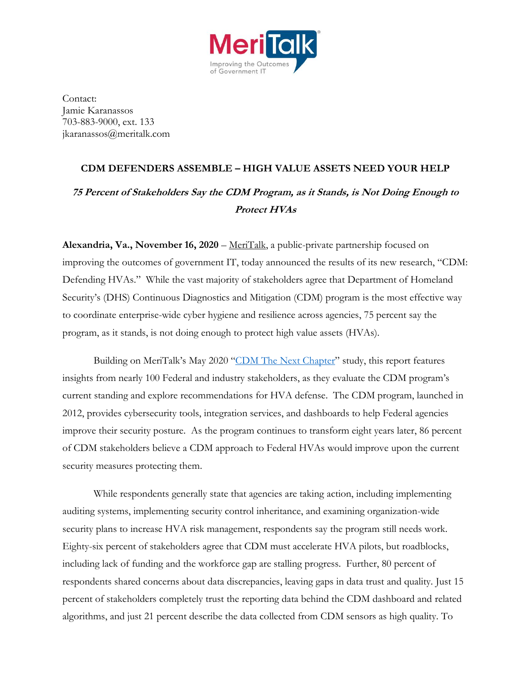

Contact: Jamie Karanassos 703-883-9000, ext. 133 jkaranassos@meritalk.com

## **CDM DEFENDERS ASSEMBLE – HIGH VALUE ASSETS NEED YOUR HELP 75 Percent of Stakeholders Say the CDM Program, as it Stands, is Not Doing Enough to**

## **Protect HVAs**

**Alexandria, Va., November 16, 2020** – [MeriTalk,](http://www.meritalk.com/) a public-private partnership focused on improving the outcomes of government IT, today announced the results of its new research, "CDM: Defending HVAs." While the vast majority of stakeholders agree that Department of Homeland Security's (DHS) Continuous Diagnostics and Mitigation (CDM) program is the most effective way to coordinate enterprise-wide cyber hygiene and resilience across agencies, 75 percent say the program, as it stands, is not doing enough to protect high value assets (HVAs).

Building on MeriTalk's May 2020 "[CDM The Next Chapter](https://www.meritalk.com/study/cdm-the-next-chapter/)" study, this report features insights from nearly 100 Federal and industry stakeholders, as they evaluate the CDM program's current standing and explore recommendations for HVA defense. The CDM program, launched in 2012, provides cybersecurity tools, integration services, and dashboards to help Federal agencies improve their security posture. As the program continues to transform eight years later, 86 percent of CDM stakeholders believe a CDM approach to Federal HVAs would improve upon the current security measures protecting them.

While respondents generally state that agencies are taking action, including implementing auditing systems, implementing security control inheritance, and examining organization-wide security plans to increase HVA risk management, respondents say the program still needs work. Eighty-six percent of stakeholders agree that CDM must accelerate HVA pilots, but roadblocks, including lack of funding and the workforce gap are stalling progress. Further, 80 percent of respondents shared concerns about data discrepancies, leaving gaps in data trust and quality. Just 15 percent of stakeholders completely trust the reporting data behind the CDM dashboard and related algorithms, and just 21 percent describe the data collected from CDM sensors as high quality. To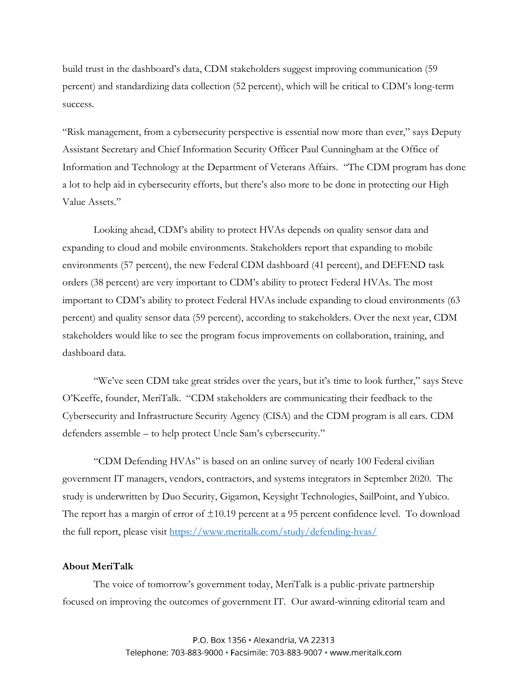build trust in the dashboard's data, CDM stakeholders suggest improving communication (59 percent) and standardizing data collection (52 percent), which will be critical to CDM's long-term success.

"Risk management, from a cybersecurity perspective is essential now more than ever," says Deputy Assistant Secretary and Chief Information Security Officer Paul Cunningham at the Office of Information and Technology at the Department of Veterans Affairs. "The CDM program has done a lot to help aid in cybersecurity efforts, but there's also more to be done in protecting our High Value Assets."

Looking ahead, CDM's ability to protect HVAs depends on quality sensor data and expanding to cloud and mobile environments. Stakeholders report that expanding to mobile environments (57 percent), the new Federal CDM dashboard (41 percent), and DEFEND task orders (38 percent) are very important to CDM's ability to protect Federal HVAs. The most important to CDM's ability to protect Federal HVAs include expanding to cloud environments (63 percent) and quality sensor data (59 percent), according to stakeholders. Over the next year, CDM stakeholders would like to see the program focus improvements on collaboration, training, and dashboard data.

"We've seen CDM take great strides over the years, but it's time to look further," says Steve O'Keeffe, founder, MeriTalk. "CDM stakeholders are communicating their feedback to the Cybersecurity and Infrastructure Security Agency (CISA) and the CDM program is all ears. CDM defenders assemble – to help protect Uncle Sam's cybersecurity."

"CDM Defending HVAs" is based on an online survey of nearly 100 Federal civilian government IT managers, vendors, contractors, and systems integrators in September 2020. The study is underwritten by Duo Security, Gigamon, Keysight Technologies, SailPoint, and Yubico. The report has a margin of error of  $\pm 10.19$  percent at a 95 percent confidence level. To download the full report, please visit [https://www.meritalk.com/study/defending-hvas/](https://www.meritalk.com/study/defending-hvas/?campaign=pr)

## **About MeriTalk**

The voice of tomorrow's government today, MeriTalk is a public-private partnership focused on improving the outcomes of government IT. Our award-winning editorial team and